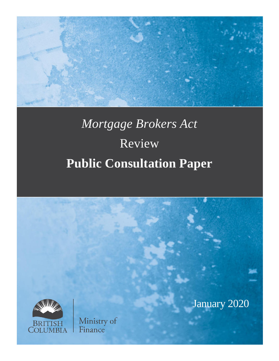

# *Mortgage Brokers Act* Review **Public Consultation Paper**

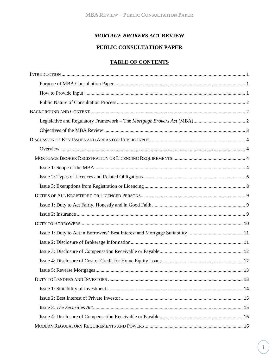## **MORTAGE BROKERS ACT REVIEW**

# PUBLIC CONSULTATION PAPER

#### **TABLE OF CONTENTS**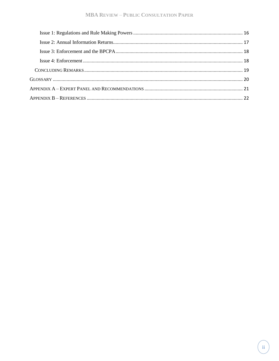#### **MBA REVIEW - PUBLIC CONSULTATION PAPER**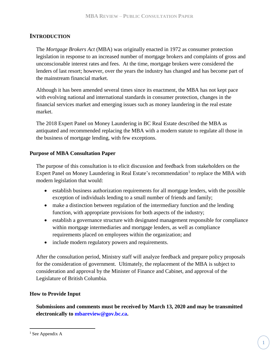# <span id="page-3-0"></span>**INTRODUCTION**

The *Mortgage Brokers Act* (MBA) was originally enacted in 1972 as consumer protection legislation in response to an increased number of mortgage brokers and complaints of gross and unconscionable interest rates and fees. At the time, mortgage brokers were considered the lenders of last resort; however, over the years the industry has changed and has become part of the mainstream financial market.

Although it has been amended several times since its enactment, the MBA has not kept pace with evolving national and international standards in consumer protection, changes in the financial services market and emerging issues such as money laundering in the real estate market.

The 2018 Expert Panel on Money Laundering in BC Real Estate described the MBA as antiquated and recommended replacing the MBA with a modern statute to regulate all those in the business of mortgage lending, with few exceptions.

#### <span id="page-3-1"></span>**Purpose of MBA Consultation Paper**

The purpose of this consultation is to elicit discussion and feedback from stakeholders on the Expert Panel on Money Laundering in Real Estate's recommendation<sup>1</sup> to replace the MBA with modern legislation that would:

- establish business authorization requirements for all mortgage lenders, with the possible exception of individuals lending to a small number of friends and family;
- make a distinction between regulation of the intermediary function and the lending function, with appropriate provisions for both aspects of the industry;
- establish a governance structure with designated management responsible for compliance within mortgage intermediaries and mortgage lenders, as well as compliance requirements placed on employees within the organization; and
- include modern regulatory powers and requirements.

After the consultation period, Ministry staff will analyze feedback and prepare policy proposals for the consideration of government. Ultimately, the replacement of the MBA is subject to consideration and approval by the Minister of Finance and Cabinet, and approval of the Legislature of British Columbia.

#### <span id="page-3-2"></span>**How to Provide Input**

**Submissions and comments must be received by March 13, 2020 and may be transmitted electronically to mbareview@gov.bc.ca.**

 $\overline{a}$ 

<sup>&</sup>lt;sup>1</sup> See Appendix A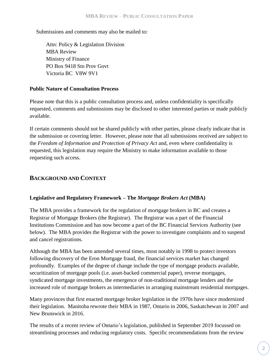Submissions and comments may also be mailed to:

Attn: Policy & Legislation Division MBA Review Ministry of Finance PO Box 9418 Stn Prov Govt Victoria BC V8W 9V1

## <span id="page-4-0"></span>**Public Nature of Consultation Process**

Please note that this is a public consultation process and, unless confidentiality is specifically requested, comments and submissions may be disclosed to other interested parties or made publicly available.

If certain comments should not be shared publicly with other parties, please clearly indicate that in the submission or covering letter. However, please note that all submissions received are subject to the *Freedom of Information and Protection of Privacy Act* and, even where confidentiality is requested, this legislation may require the Ministry to make information available to those requesting such access.

# <span id="page-4-1"></span>**BACKGROUND AND CONTEXT**

## <span id="page-4-2"></span>**Legislative and Regulatory Framework – The** *[Mortgage Brokers Act](http://www.bclaws.ca/Recon/document/ID/freeside/00_96313_01)* **(MBA)**

The MBA provides a framework for the regulation of mortgage brokers in BC and creates a Registrar of Mortgage Brokers (the Registrar). The Registrar was a part of the Financial Institutions Commission and has now become a part of the BC Financial Services Authority (see below). The MBA provides the Registrar with the power to investigate complaints and to suspend and cancel registrations.

Although the MBA has been amended several times, most notably in 1998 to protect investors following discovery of the Eron Mortgage fraud, the financial services market has changed profoundly. Examples of the degree of change include the type of mortgage products available, securitization of mortgage pools (i.e. asset-backed commercial paper), reverse mortgages, syndicated mortgage investments, the emergence of non-traditional mortgage lenders and the increased role of mortgage brokers as intermediaries in arranging mainstream residential mortgages.

Many provinces that first enacted mortgage broker legislation in the 1970s have since modernized their legislation. Manitoba rewrote their MBA in 1987, Ontario in 2006, Saskatchewan in 2007 and New Brunswick in 2016.

The results of a recent review of Ontario's legislation, published in September 2019 focussed on streamlining processes and reducing regulatory costs. Specific recommendations from the review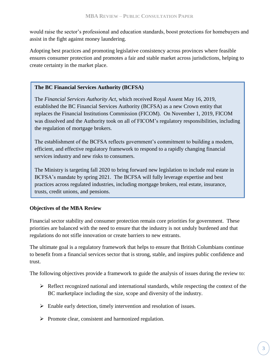would raise the sector's professional and education standards, boost protections for homebuyers and assist in the fight against money laundering.

Adopting best practices and promoting legislative consistency across provinces where feasible ensures consumer protection and promotes a fair and stable market across jurisdictions, helping to create certainty in the market place.

## **The BC Financial Services Authority (BCFSA)**

The *Financial Services Authority Act*, which received Royal Assent May 16, 2019, established the BC Financial Services Authority (BCFSA) as a new Crown entity that replaces the Financial Institutions Commission (FICOM). On November 1, 2019, FICOM was dissolved and the Authority took on all of FICOM's regulatory responsibilities, including the regulation of mortgage brokers.

The establishment of the BCFSA reflects government's commitment to building a modern, efficient, and effective regulatory framework to respond to a rapidly changing financial services industry and new risks to consumers.

The Ministry is targeting fall 2020 to bring forward new legislation to include real estate in BCFSA's mandate by spring 2021. The BCFSA will fully leverage expertise and best practices across regulated industries, including mortgage brokers, real estate, insurance, trusts, credit unions, and pensions.

## <span id="page-5-0"></span>**Objectives of the MBA Review**

Financial sector stability and consumer protection remain core priorities for government. These priorities are balanced with the need to ensure that the industry is not unduly burdened and that regulations do not stifle innovation or create barriers to new entrants.

The ultimate goal is a regulatory framework that helps to ensure that British Columbians continue to benefit from a financial services sector that is strong, stable, and inspires public confidence and trust.

The following objectives provide a framework to guide the analysis of issues during the review to:

- $\triangleright$  Reflect recognized national and international standards, while respecting the context of the BC marketplace including the size, scope and diversity of the industry.
- ➢ Enable early detection, timely intervention and resolution of issues.
- ➢ Promote clear, consistent and harmonized regulation.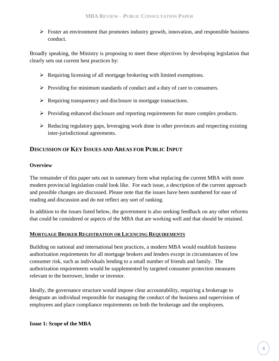➢ Foster an environment that promotes industry growth, innovation, and responsible business conduct.

Broadly speaking, the Ministry is proposing to meet these objectives by developing legislation that clearly sets out current best practices by:

- ➢ Requiring licensing of all mortgage brokering with limited exemptions.
- $\triangleright$  Providing for minimum standards of conduct and a duty of care to consumers.
- ➢ Requiring transparency and disclosure in mortgage transactions.
- ➢ Providing enhanced disclosure and reporting requirements for more complex products.
- $\triangleright$  Reducing regulatory gaps, leveraging work done in other provinces and respecting existing inter-jurisdictional agreements.

# <span id="page-6-0"></span>**DISCUSSION OF KEY ISSUES AND AREAS FOR PUBLIC INPUT**

#### <span id="page-6-1"></span>**Overview**

The remainder of this paper sets out in summary form what replacing the current MBA with more modern provincial legislation could look like. For each issue, a description of the current approach and possible changes are discussed. Please note that the issues have been numbered for ease of reading and discussion and do not reflect any sort of ranking.

In addition to the issues listed below, the government is also seeking feedback on any other reforms that could be considered or aspects of the MBA that are working well and that should be retained.

#### <span id="page-6-2"></span>**MORTGAGE BROKER REGISTRATION OR LICENCING REQUIREMENTS**

Building on national and international best practices, a modern MBA would establish business authorization requirements for all mortgage brokers and lenders except in circumstances of low consumer risk, such as individuals lending to a small number of friends and family. The authorization requirements would be supplemented by targeted consumer protection measures relevant to the borrower, lender or investor.

<span id="page-6-3"></span>Ideally, the governance structure would impose clear accountability, requiring a brokerage to designate an individual responsible for managing the conduct of the business and supervision of employees and place compliance requirements on both the brokerage and the employees.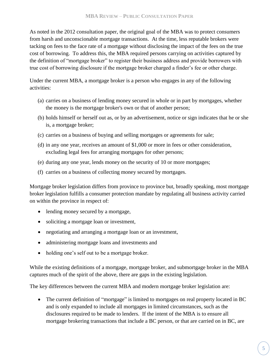As noted in the 2012 consultation paper, the original goal of the MBA was to protect consumers from harsh and unconscionable mortgage transactions. At the time, less reputable brokers were tacking on fees to the face rate of a mortgage without disclosing the impact of the fees on the true cost of borrowing. To address this, the MBA required persons carrying on activities captured by the definition of "mortgage broker" to register their business address and provide borrowers with true cost of borrowing disclosure if the mortgage broker charged a finder's fee or other charge.

Under the current MBA, a mortgage broker is a person who engages in any of the following activities:

- (a) carries on a business of lending money secured in whole or in part by mortgages, whether the money is the mortgage broker's own or that of another person;
- (b) holds himself or herself out as, or by an advertisement, notice or sign indicates that he or she is, a mortgage broker;
- (c) carries on a business of buying and selling mortgages or agreements for sale;
- (d) in any one year, receives an amount of \$1,000 or more in fees or other consideration, excluding legal fees for arranging mortgages for other persons;
- (e) during any one year, lends money on the security of 10 or more mortgages;
- (f) carries on a business of collecting money secured by mortgages.

Mortgage broker legislation differs from province to province but, broadly speaking, most mortgage broker legislation fulfills a consumer protection mandate by regulating all business activity carried on within the province in respect of:

- lending money secured by a mortgage,
- soliciting a mortgage loan or investment,
- negotiating and arranging a mortgage loan or an investment,
- administering mortgage loans and investments and
- holding one's self out to be a mortgage broker.

While the existing definitions of a mortgage, mortgage broker, and submortgage broker in the MBA captures much of the spirit of the above, there are gaps in the existing legislation.

The key differences between the current MBA and modern mortgage broker legislation are:

• The current definition of "mortgage" is limited to mortgages on real property located in BC and is only expanded to include all mortgages in limited circumstances, such as the disclosures required to be made to lenders. If the intent of the MBA is to ensure all mortgage brokering transactions that include a BC person, or that are carried on in BC, are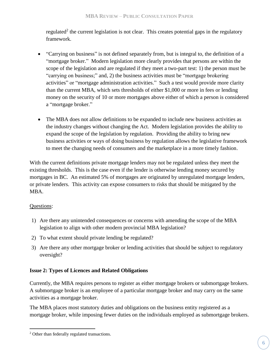regulated<sup>2</sup> the current legislation is not clear. This creates potential gaps in the regulatory framework.

- "Carrying on business" is not defined separately from, but is integral to, the definition of a "mortgage broker." Modern legislation more clearly provides that persons are within the scope of the legislation and are regulated if they meet a two-part test: 1) the person must be "carrying on business;" and, 2) the business activities must be "mortgage brokering activities" or "mortgage administration activities." Such a test would provide more clarity than the current MBA, which sets thresholds of either \$1,000 or more in fees or lending money on the security of 10 or more mortgages above either of which a person is considered a "mortgage broker."
- The MBA does not allow definitions to be expanded to include new business activities as the industry changes without changing the Act. Modern legislation provides the ability to expand the scope of the legislation by regulation. Providing the ability to bring new business activities or ways of doing business by regulation allows the legislative framework to meet the changing needs of consumers and the marketplace in a more timely fashion.

With the current definitions private mortgage lenders may not be regulated unless they meet the existing thresholds. This is the case even if the lender is otherwise lending money secured by mortgages in BC. An estimated 5% of mortgages are originated by unregulated mortgage lenders, or private lenders. This activity can expose consumers to risks that should be mitigated by the MBA.

## Questions:

 $\overline{a}$ 

- 1) Are there any unintended consequences or concerns with amending the scope of the MBA legislation to align with other modern provincial MBA legislation?
- 2) To what extent should private lending be regulated?
- 3) Are there any other mortgage broker or lending activities that should be subject to regulatory oversight?

## <span id="page-8-0"></span>**Issue 2: Types of Licences and Related Obligations**

Currently, the MBA requires persons to register as either mortgage brokers or submortgage brokers. A submortgage broker is an employee of a particular mortgage broker and may carry on the same activities as a mortgage broker.

The MBA places most statutory duties and obligations on the business entity registered as a mortgage broker, while imposing fewer duties on the individuals employed as submortgage brokers.

<sup>2</sup> Other than federally regulated transactions.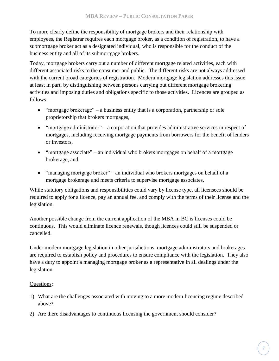To more clearly define the responsibility of mortgage brokers and their relationship with employees, the Registrar requires each mortgage broker, as a condition of registration, to have a submortgage broker act as a designated individual, who is responsible for the conduct of the business entity and all of its submortgage brokers.

Today, mortgage brokers carry out a number of different mortgage related activities, each with different associated risks to the consumer and public. The different risks are not always addressed with the current broad categories of registration. Modern mortgage legislation addresses this issue, at least in part, by distinguishing between persons carrying out different mortgage brokering activities and imposing duties and obligations specific to those activities. Licences are grouped as follows:

- "mortgage brokerage" a business entity that is a corporation, partnership or sole proprietorship that brokers mortgages,
- "mortgage administrator" a corporation that provides administrative services in respect of mortgages, including receiving mortgage payments from borrowers for the benefit of lenders or investors,
- "mortgage associate" an individual who brokers mortgages on behalf of a mortgage brokerage, and
- "managing mortgage broker" an individual who brokers mortgages on behalf of a mortgage brokerage and meets criteria to supervise mortgage associates,

While statutory obligations and responsibilities could vary by license type, all licensees should be required to apply for a licence, pay an annual fee, and comply with the terms of their license and the legislation.

Another possible change from the current application of the MBA in BC is licenses could be continuous. This would eliminate licence renewals, though licences could still be suspended or cancelled.

Under modern mortgage legislation in other jurisdictions, mortgage administrators and brokerages are required to establish policy and procedures to ensure compliance with the legislation. They also have a duty to appoint a managing mortgage broker as a representative in all dealings under the legislation.

## Questions:

- 1) What are the challenges associated with moving to a more modern licencing regime described above?
- 2) Are there disadvantages to continuous licensing the government should consider?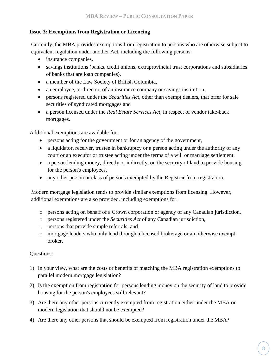## <span id="page-10-0"></span>**Issue 3: Exemptions from Registration or Licencing**

Currently, the MBA provides exemptions from registration to persons who are otherwise subject to equivalent regulation under another Act, including the following persons:

- insurance companies,
- savings institutions (banks, credit unions, extraprovincial trust corporations and subsidiaries of banks that are loan companies),
- a member of the Law Society of British Columbia,
- an employee, or director, of an insurance company or savings institution,
- persons registered under the *Securities Act*, other than exempt dealers, that offer for sale securities of syndicated mortgages and
- a person licensed under the *Real Estate Services Act*, in respect of vendor take-back mortgages.

Additional exemptions are available for:

- persons acting for the government or for an agency of the government,
- a liquidator, receiver, trustee in bankruptcy or a person acting under the authority of any court or an executor or trustee acting under the terms of a will or marriage settlement.
- a person lending money, directly or indirectly, on the security of land to provide housing for the person's employees,
- any other person or class of persons exempted by the Registrar from registration.

Modern mortgage legislation tends to provide similar exemptions from licensing. However, additional exemptions are also provided, including exemptions for:

- o persons acting on behalf of a Crown corporation or agency of any Canadian jurisdiction,
- o persons registered under the *Securities Act* of any Canadian jurisdiction,
- o persons that provide simple referrals, and
- o mortgage lenders who only lend through a licensed brokerage or an otherwise exempt broker.

## Questions:

- 1) In your view, what are the costs or benefits of matching the MBA registration exemptions to parallel modern mortgage legislation?
- 2) Is the exemption from registration for persons lending money on the security of land to provide housing for the person's employees still relevant?
- 3) Are there any other persons currently exempted from registration either under the MBA or modern legislation that should not be exempted?
- 4) Are there any other persons that should be exempted from registration under the MBA?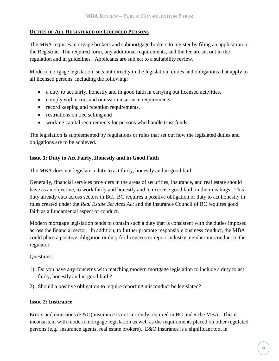## <span id="page-11-0"></span>**DUTIES OF ALL REGISTERED OR LICENCED PERSONS**

The MBA requires mortgage brokers and submortgage brokers to register by filing an application to the Registrar. The required form, any additional requirements, and the fee are set out in the regulation and in guidelines. Applicants are subject to a suitability review.

Modern mortgage legislation, sets out directly in the legislation, duties and obligations that apply to all licensed persons, including the following:

- a duty to act fairly, honestly and in good faith in carrying out licensed activities,
- comply with errors and omission insurance requirements,
- record keeping and retention requirements,
- restrictions on tied selling and
- working capital requirements for persons who handle trust funds.

The legislation is supplemented by regulations or rules that set out how the legislated duties and obligations are to be achieved.

## <span id="page-11-1"></span>**Issue 1: Duty to Act Fairly, Honestly and in Good Faith**

The MBA does not legislate a duty to act fairly, honestly and in good faith.

Generally, financial services providers in the areas of securities, insurance, and real estate should have as an objective, to work fairly and honestly and to exercise good faith in their dealings. This duty already cuts across sectors in BC. BC requires a positive obligation or duty to act honestly in rules created under the *Real Estate Services Act* and the Insurance Council of BC requires good faith as a fundamental aspect of conduct.

Modern mortgage legislation tends to contain such a duty that is consistent with the duties imposed across the financial sector. In addition, to further promote responsible business conduct, the MBA could place a positive obligation or duty for licencees to report industry member misconduct to the regulator.

#### Questions:

- 1) Do you have any concerns with matching modern mortgage legislation to include a duty to act fairly, honestly and in good faith?
- 2) Should a positive obligation to require reporting misconduct be legislated?

#### <span id="page-11-2"></span>**Issue 2: Insurance**

Errors and omissions (E&O) insurance is not currently required in BC under the MBA. This is inconsistent with modern mortgage legislation as well as the requirements placed on other regulated persons (e.g., insurance agents, real estate brokers). E&O insurance is a significant tool in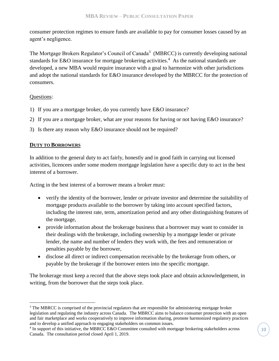consumer protection regimes to ensure funds are available to pay for consumer losses caused by an agent's negligence.

The Mortgage Brokers Regulator's Council of Canada<sup>3</sup> (MBRCC) is currently developing national standards for E&O insurance for mortgage brokering activities.<sup>4</sup> As the national standards are developed, a new MBA would require insurance with a goal to harmonize with other jurisdictions and adopt the national standards for E&O insurance developed by the MBRCC for the protection of consumers.

#### Questions:

 $\overline{a}$ 

- 1) If you are a mortgage broker, do you currently have E&O insurance?
- 2) If you are a mortgage broker, what are your reasons for having or not having E&O insurance?
- 3) Is there any reason why E&O insurance should not be required?

#### <span id="page-12-0"></span>**DUTY TO BORROWERS**

In addition to the general duty to act fairly, honestly and in good faith in carrying out licensed activities, licencees under some modern mortgage legislation have a specific duty to act in the best interest of a borrower.

Acting in the best interest of a borrower means a broker must:

- verify the identity of the borrower, lender or private investor and determine the suitability of mortgage products available to the borrower by taking into account specified factors, including the interest rate, term, amortization period and any other distinguishing features of the mortgage,
- provide information about the brokerage business that a borrower may want to consider in their dealings with the brokerage, including ownership by a mortgage lender or private lender, the name and number of lenders they work with, the fees and remuneration or penalties payable by the borrower,
- disclose all direct or indirect compensation receivable by the brokerage from others, or payable by the brokerage if the borrower enters into the specific mortgage.

The brokerage must keep a record that the above steps took place and obtain acknowledgement, in writing, from the borrower that the steps took place.

 $3$  The MBRCC is comprised of the provincial regulators that are responsible for administering mortgage broker legislation and regulating the industry across Canada. The MBRCC aims to balance consumer protection with an open and fair marketplace and works cooperatively to improve information sharing, promote harmonized regulatory practices and to develop a unified approach to engaging stakeholders on common issues.

<sup>&</sup>lt;sup>4</sup> In support of this initiative, the MBRCC E&O Committee consulted with mortgage brokering stakeholders across Canada. The consultation period closed April 1, 2019.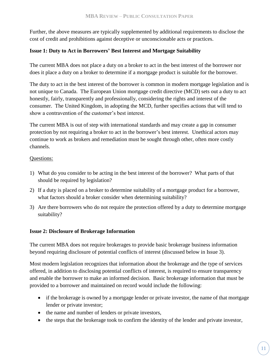Further, the above measures are typically supplemented by additional requirements to disclose the cost of credit and prohibitions against deceptive or unconscionable acts or practices.

### <span id="page-13-0"></span>**Issue 1: Duty to Act in Borrowers' Best Interest and Mortgage Suitability**

The current MBA does not place a duty on a broker to act in the best interest of the borrower nor does it place a duty on a broker to determine if a mortgage product is suitable for the borrower.

The duty to act in the best interest of the borrower is common in modern mortgage legislation and is not unique to Canada. The European Union mortgage credit directive (MCD) sets out a duty to act honestly, fairly, transparently and professionally, considering the rights and interest of the consumer. The United Kingdom, in adopting the MCD, further specifies actions that will tend to show a contravention of the customer's best interest.

The current MBA is out of step with international standards and may create a gap in consumer protection by not requiring a broker to act in the borrower's best interest. Unethical actors may continue to work as brokers and remediation must be sought through other, often more costly channels.

#### Questions:

- 1) What do you consider to be acting in the best interest of the borrower? What parts of that should be required by legislation?
- 2) If a duty is placed on a broker to determine suitability of a mortgage product for a borrower, what factors should a broker consider when determining suitability?
- 3) Are there borrowers who do not require the protection offered by a duty to determine mortgage suitability?

#### <span id="page-13-1"></span>**Issue 2: Disclosure of Brokerage Information**

The current MBA does not require brokerages to provide basic brokerage business information beyond requiring disclosure of potential conflicts of interest (discussed below in Issue 3).

Most modern legislation recognizes that information about the brokerage and the type of services offered, in addition to disclosing potential conflicts of interest, is required to ensure transparency and enable the borrower to make an informed decision. Basic brokerage information that must be provided to a borrower and maintained on record would include the following:

- if the brokerage is owned by a mortgage lender or private investor, the name of that mortgage lender or private investor;
- the name and number of lenders or private investors,
- the steps that the brokerage took to confirm the identity of the lender and private investor,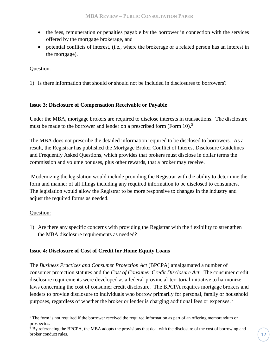- the fees, remuneration or penalties payable by the borrower in connection with the services offered by the mortgage brokerage, and
- potential conflicts of interest, (i.e., where the brokerage or a related person has an interest in the mortgage).

#### Question:

1) Is there information that should or should not be included in disclosures to borrowers?

#### <span id="page-14-0"></span>**Issue 3: Disclosure of Compensation Receivable or Payable**

Under the MBA, mortgage brokers are required to disclose interests in transactions. The disclosure must be made to the borrower and lender on a prescribed form (Form 10).<sup>5</sup>

The MBA does not prescribe the detailed information required to be disclosed to borrowers. As a result, the Registrar has published the Mortgage Broker Conflict of Interest Disclosure Guidelines and Frequently Asked Questions, which provides that brokers must disclose in dollar terms the commission and volume bonuses, plus other rewards, that a broker may receive.

Modernizing the legislation would include providing the Registrar with the ability to determine the form and manner of all filings including any required information to be disclosed to consumers. The legislation would allow the Registrar to be more responsive to changes in the industry and adjust the required forms as needed.

#### Question:

 $\overline{a}$ 

1) Are there any specific concerns with providing the Registrar with the flexibility to strengthen the MBA disclosure requirements as needed?

#### <span id="page-14-1"></span>**Issue 4: Disclosure of Cost of Credit for Home Equity Loans**

The *Business Practices and Consumer Protection Act* (BPCPA) amalgamated a number of consumer protection statutes and the *Cost of Consumer Credit Disclosure Act*. The consumer credit disclosure requirements were developed as a federal-provincial-territorial initiative to harmonize laws concerning the cost of consumer credit disclosure. The BPCPA requires mortgage brokers and lenders to provide disclosure to individuals who borrow primarily for personal, family or household purposes, regardless of whether the broker or lender is charging additional fees or expenses. 6

<sup>&</sup>lt;sup>5</sup> The form is not required if the borrower received the required information as part of an offering memorandum or prospectus.

 $6$  By referencing the BPCPA, the MBA adopts the provisions that deal with the disclosure of the cost of borrowing and broker conduct rules.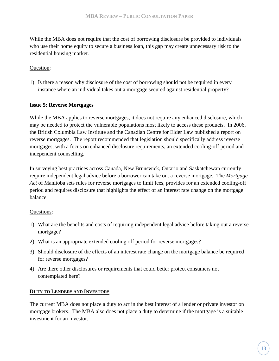While the MBA does not require that the cost of borrowing disclosure be provided to individuals who use their home equity to secure a business loan, this gap may create unnecessary risk to the residential housing market.

#### Question:

1) Is there a reason why disclosure of the cost of borrowing should not be required in every instance where an individual takes out a mortgage secured against residential property?

#### <span id="page-15-0"></span>**Issue 5: Reverse Mortgages**

While the MBA applies to reverse mortgages, it does not require any enhanced disclosure, which may be needed to protect the vulnerable populations most likely to access these products. In 2006, the British Columbia Law Institute and the Canadian Centre for Elder Law published a report on reverse mortgages. The report recommended that legislation should specifically address reverse mortgages, with a focus on enhanced disclosure requirements, an extended cooling-off period and independent counselling.

In surveying best practices across Canada, New Brunswick, Ontario and Saskatchewan currently require independent legal advice before a borrower can take out a reverse mortgage. The *Mortgage Act* of Manitoba sets rules for reverse mortgages to limit fees, provides for an extended cooling-off period and requires disclosure that highlights the effect of an interest rate change on the mortgage balance.

#### Questions:

- 1) What are the benefits and costs of requiring independent legal advice before taking out a reverse mortgage?
- 2) What is an appropriate extended cooling off period for reverse mortgages?
- 3) Should disclosure of the effects of an interest rate change on the mortgage balance be required for reverse mortgages?
- 4) Are there other disclosures or requirements that could better protect consumers not contemplated here?

#### <span id="page-15-1"></span>**DUTY TO LENDERS AND INVESTORS**

The current MBA does not place a duty to act in the best interest of a lender or private investor on mortgage brokers. The MBA also does not place a duty to determine if the mortgage is a suitable investment for an investor.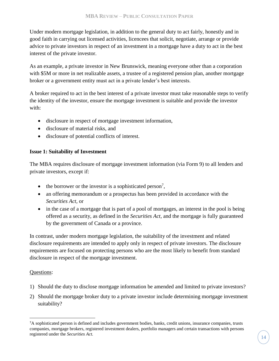Under modern mortgage legislation, in addition to the general duty to act fairly, honestly and in good faith in carrying out licensed activities, licencees that solicit, negotiate, arrange or provide advice to private investors in respect of an investment in a mortgage have a duty to act in the best interest of the private investor.

As an example, a private investor in New Brunswick, meaning everyone other than a corporation with \$5M or more in net realizable assets, a trustee of a registered pension plan, another mortgage broker or a government entity must act in a private lender's best interests.

A broker required to act in the best interest of a private investor must take reasonable steps to verify the identity of the investor, ensure the mortgage investment is suitable and provide the investor with:

- disclosure in respect of mortgage investment information,
- disclosure of material risks, and
- disclosure of potential conflicts of interest.

## <span id="page-16-0"></span>**Issue 1: Suitability of Investment**

The MBA requires disclosure of mortgage investment information (via Form 9) to all lenders and private investors, except if:

- $\bullet$  the borrower or the investor is a sophisticated person<sup>7</sup>,
- an offering memorandum or a prospectus has been provided in accordance with the *Securities Act,* or
- in the case of a mortgage that is part of a pool of mortgages, an interest in the pool is being offered as a security, as defined in the *Securities Act,* and the mortgage is fully guaranteed by the government of Canada or a province.

In contrast, under modern mortgage legislation, the suitability of the investment and related disclosure requirements are intended to apply only in respect of private investors. The disclosure requirements are focused on protecting persons who are the most likely to benefit from standard disclosure in respect of the mortgage investment.

#### Questions:

 $\overline{a}$ 

- 1) Should the duty to disclose mortgage information be amended and limited to private investors?
- 2) Should the mortgage broker duty to a private investor include determining mortgage investment suitability?

<sup>7</sup>A sophisticated person is defined and includes government bodies, banks, credit unions, insurance companies, trusts companies, mortgage brokers, registered investment dealers, portfolio managers and certain transactions with persons registered under the *Securities Act.*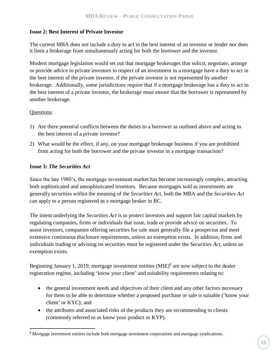#### <span id="page-17-0"></span>**Issue 2: Best Interest of Private Investor**

The current MBA does not include a duty to act in the best interest of an investor or lender nor does it limit a brokerage from simultaneously acting for both the borrower and the investor.

Modern mortgage legislation would set out that mortgage brokerages that solicit, negotiate, arrange or provide advice to private investors in respect of an investment in a mortgage have a duty to act in the best interest of the private investor, if the private investor is not represented by another brokerage. Additionally, some jurisdictions require that if a mortgage brokerage has a duty to act in the best interest of a private investor, the brokerage must ensure that the borrower is represented by another brokerage.

#### Questions:

 $\overline{a}$ 

- 1) Are there potential conflicts between the duties to a borrower as outlined above and acting in the best interest of a private investor?
- 2) What would be the effect, if any, on your mortgage brokerage business if you are prohibited from acting for both the borrower and the private investor in a mortgage transaction?

#### <span id="page-17-1"></span>**Issue 3:** *The Securities Act*

Since the late 1980's, the mortgage investment market has become increasingly complex, attracting both sophisticated and unsophisticated investors. Because mortgages sold as investments are generally securities within the meaning of the *Securities Act*, both the MBA and the *Securities Act* can apply to a person registered as a mortgage broker in BC.

The intent underlying the *Securities Act* is to protect investors and support fair capital markets by regulating companies, firms or individuals that issue, trade or provide advice on securities. To assist investors, companies offering securities for sale must generally file a prospectus and meet extensive continuous disclosure requirements, unless an exemption exists. In addition, firms and individuals trading or advising on securities must be registered under the *Securities Act*, unless an exemption exists.

Beginning January 1, 2019, mortgage investment entities  $(MIE)^8$  are now subject to the dealer registration regime, including 'know your client' and suitability requirements relating to:

- the general investment needs and objectives of their client and any other factors necessary for them to be able to determine whether a proposed purchase or sale is suitable ('know your client' or KYC); and
- the attributes and associated risks of the products they are recommending to clients (commonly referred to as know your product or KYP).

<sup>&</sup>lt;sup>8</sup> Mortgage investment entities include both mortgage investment corporations and mortgage syndications.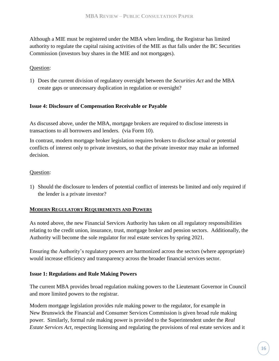Although a MIE must be registered under the MBA when lending, the Registrar has limited authority to regulate the capital raising activities of the MIE as that falls under the BC Securities Commission (investors buy shares in the MIE and not mortgages).

#### Question:

1) Does the current division of regulatory oversight between the *Securities Act* and the MBA create gaps or unnecessary duplication in regulation or oversight?

#### <span id="page-18-0"></span>**Issue 4: Disclosure of Compensation Receivable or Payable**

As discussed above, under the MBA, mortgage brokers are required to disclose interests in transactions to all borrowers and lenders. (via Form 10).

In contrast, modern mortgage broker legislation requires brokers to disclose actual or potential conflicts of interest only to private investors, so that the private investor may make an informed decision.

#### Question:

1) Should the disclosure to lenders of potential conflict of interests be limited and only required if the lender is a private investor?

#### <span id="page-18-1"></span>**MODERN REGULATORY REQUIREMENTS AND POWERS**

As noted above, the new Financial Services Authority has taken on all regulatory responsibilities relating to the credit union, insurance, trust, mortgage broker and pension sectors. Additionally, the Authority will become the sole regulator for real estate services by spring 2021.

Ensuring the Authority's regulatory powers are harmonized across the sectors (where appropriate) would increase efficiency and transparency across the broader financial services sector.

#### <span id="page-18-2"></span>**Issue 1: Regulations and Rule Making Powers**

The current MBA provides broad regulation making powers to the Lieutenant Governor in Council and more limited powers to the registrar.

Modern mortgage legislation provides rule making power to the regulator, for example in New Brunswick the Financial and Consumer Services Commission is given broad rule making power. Similarly, formal rule making power is provided to the Superintendent under the *Real Estate Services Act*, respecting licensing and regulating the provisions of real estate services and it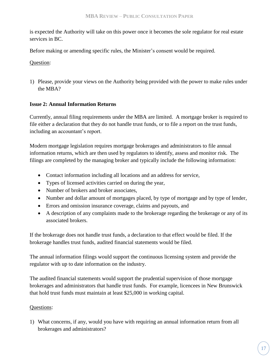is expected the Authority will take on this power once it becomes the sole regulator for real estate services in BC.

Before making or amending specific rules, the Minister's consent would be required.

Question:

1) Please, provide your views on the Authority being provided with the power to make rules under the MBA?

## <span id="page-19-0"></span>**Issue 2: Annual Information Returns**

Currently, annual filing requirements under the MBA are limited. A mortgage broker is required to file either a declaration that they do not handle trust funds, or to file a report on the trust funds, including an accountant's report.

Modern mortgage legislation requires mortgage brokerages and administrators to file annual information returns, which are then used by regulators to identify, assess and monitor risk. The filings are completed by the managing broker and typically include the following information:

- Contact information including all locations and an address for service,
- Types of licensed activities carried on during the year,
- Number of brokers and broker associates,
- Number and dollar amount of mortgages placed, by type of mortgage and by type of lender,
- Errors and omission insurance coverage, claims and payouts, and
- A description of any complaints made to the brokerage regarding the brokerage or any of its associated brokers.

If the brokerage does not handle trust funds, a declaration to that effect would be filed. If the brokerage handles trust funds, audited financial statements would be filed.

The annual information filings would support the continuous licensing system and provide the regulator with up to date information on the industry.

The audited financial statements would support the prudential supervision of those mortgage brokerages and administrators that handle trust funds. For example, licencees in New Brunswick that hold trust funds must maintain at least \$25,000 in working capital.

## Questions:

1) What concerns, if any, would you have with requiring an annual information return from all brokerages and administrators?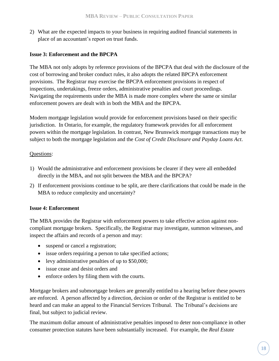2) What are the expected impacts to your business in requiring audited financial statements in place of an accountant's report on trust funds.

### <span id="page-20-0"></span>**Issue 3: Enforcement and the BPCPA**

The MBA not only adopts by reference provisions of the BPCPA that deal with the disclosure of the cost of borrowing and broker conduct rules, it also adopts the related BPCPA enforcement provisions. The Registrar may exercise the BPCPA enforcement provisions in respect of inspections, undertakings, freeze orders, administrative penalties and court proceedings. Navigating the requirements under the MBA is made more complex where the same or similar enforcement powers are dealt with in both the MBA and the BPCPA.

Modern mortgage legislation would provide for enforcement provisions based on their specific jurisdiction. In Ontario, for example, the regulatory framework provides for all enforcement powers within the mortgage legislation. In contrast, New Brunswick mortgage transactions may be subject to both the mortgage legislation and the *Cost of Credit Disclosure and Payday Loans Act*.

#### Questions:

- 1) Would the administrative and enforcement provisions be clearer if they were all embedded directly in the MBA, and not split between the MBA and the BPCPA?
- 2) If enforcement provisions continue to be split, are there clarifications that could be made in the MBA to reduce complexity and uncertainty?

#### <span id="page-20-1"></span>**Issue 4: Enforcement**

The MBA provides the Registrar with enforcement powers to take effective action against noncompliant mortgage brokers. Specifically, the Registrar may investigate, summon witnesses, and inspect the affairs and records of a person and may:

- suspend or cancel a registration;
- issue orders requiring a person to take specified actions;
- levy administrative penalties of up to \$50,000;
- issue cease and desist orders and
- enforce orders by filing them with the courts.

Mortgage brokers and submortgage brokers are generally entitled to a hearing before these powers are enforced. A person affected by a direction, decision or order of the Registrar is entitled to be heard and can make an appeal to the Financial Services Tribunal. The Tribunal's decisions are final, but subject to judicial review.

The maximum dollar amount of administrative penalties imposed to deter non-compliance in other consumer protection statutes have been substantially increased. For example, the *Real Estate*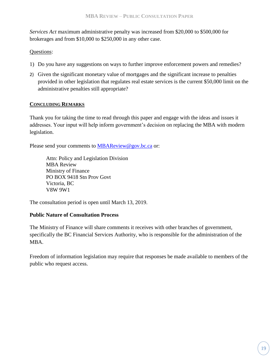*Services Act* maximum administrative penalty was increased from \$20,000 to \$500,000 for brokerages and from \$10,000 to \$250,000 in any other case.

## Questions:

- 1) Do you have any suggestions on ways to further improve enforcement powers and remedies?
- 2) Given the significant monetary value of mortgages and the significant increase to penalties provided in other legislation that regulates real estate services is the current \$50,000 limit on the administrative penalties still appropriate?

## <span id="page-21-0"></span>**CONCLUDING REMARKS**

Thank you for taking the time to read through this paper and engage with the ideas and issues it addresses. Your input will help inform government's decision on replacing the MBA with modern legislation.

Please send your comments to **[MBAReview@gov.bc.ca](mailto:MBAReview@gov.bc.ca)** or:

Attn: Policy and Legislation Division MBA Review Ministry of Finance PO BOX 9418 Stn Prov Govt Victoria, BC V8W 9W1

The consultation period is open until March 13, 2019.

#### **Public Nature of Consultation Process**

The Ministry of Finance will share comments it receives with other branches of government, specifically the BC Financial Services Authority, who is responsible for the administration of the MBA.

Freedom of information legislation may require that responses be made available to members of the public who request access.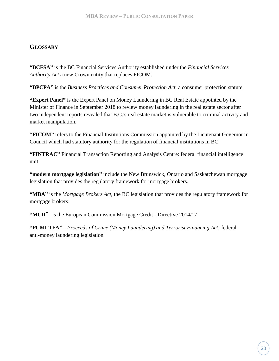# <span id="page-22-0"></span>**GLOSSARY**

**"BCFSA"** is the BC Financial Services Authority established under the *Financial Services Authority Act* a new Crown entity that replaces FICOM.

**"BPCPA"** is the *Business Practices and Consumer Protection Act*, a consumer protection statute.

**"Expert Panel"** is the Expert Panel on Money Laundering in BC Real Estate appointed by the Minister of Finance in September 2018 to review money laundering in the real estate sector after two independent reports revealed that B.C.'s real estate market is vulnerable to criminal activity and market manipulation.

**"FICOM"** refers to the Financial Institutions Commission appointed by the Lieutenant Governor in Council which had statutory authority for the regulation of financial institutions in BC.

**"FINTRAC"** Financial Transaction Reporting and Analysis Centre: federal financial intelligence unit

**"modern mortgage legislation"** include the New Brunswick, Ontario and Saskatchewan mortgage legislation that provides the regulatory framework for mortgage brokers.

**"MBA"** is the *Mortgage Brokers Act*, the BC legislation that provides the regulatory framework for mortgage brokers.

**"MCD**" is the European Commission Mortgage Credit - [Directive 2014/17](https://ec.europa.eu/info/law/mortgage-credit-directive-2014-17-eu_en)

**"PCMLTFA"** *– Proceeds of Crime (Money Laundering) and Terrorist Financing Act:* federal anti-money laundering legislation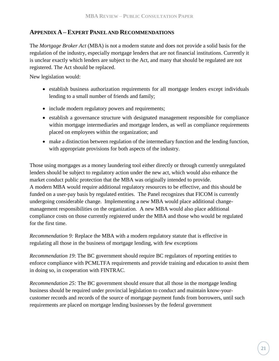## <span id="page-23-0"></span>**APPENDIX A– EXPERT PANELAND RECOMMENDATIONS**

The *Mortgage Broker Act* (MBA) is not a modern statute and does not provide a solid basis for the regulation of the industry, especially mortgage lenders that are not financial institutions. Currently it is unclear exactly which lenders are subject to the Act, and many that should be regulated are not registered. The Act should be replaced.

New legislation would:

- establish business authorization requirements for all mortgage lenders except individuals lending to a small number of friends and family;
- include modern regulatory powers and requirements;
- establish a governance structure with designated management responsible for compliance within mortgage intermediaries and mortgage lenders, as well as compliance requirements placed on employees within the organization; and
- make a distinction between regulation of the intermediary function and the lending function, with appropriate provisions for both aspects of the industry.

Those using mortgages as a money laundering tool either directly or through currently unregulated lenders should be subject to regulatory action under the new act, which would also enhance the market conduct public protection that the MBA was originally intended to provide. A modern MBA would require additional regulatory resources to be effective, and this should be funded on a user-pay basis by regulated entities. The Panel recognizes that FICOM is currently undergoing considerable change. Implementing a new MBA would place additional changemanagement responsibilities on the organization. A new MBA would also place additional compliance costs on those currently registered under the MBA and those who would be regulated for the first time.

*Recommendation 9:* Replace the MBA with a modern regulatory statute that is effective in regulating all those in the business of mortgage lending, with few exceptions

*Recommendation 19*: The BC government should require BC regulators of reporting entities to enforce compliance with PCMLTFA requirements and provide training and education to assist them in doing so, in cooperation with FINTRAC.

*Recommendation 25:* The BC government should ensure that all those in the mortgage lending business should be required under provincial legislation to conduct and maintain know-yourcustomer records and records of the source of mortgage payment funds from borrowers, until such requirements are placed on mortgage lending businesses by the federal government